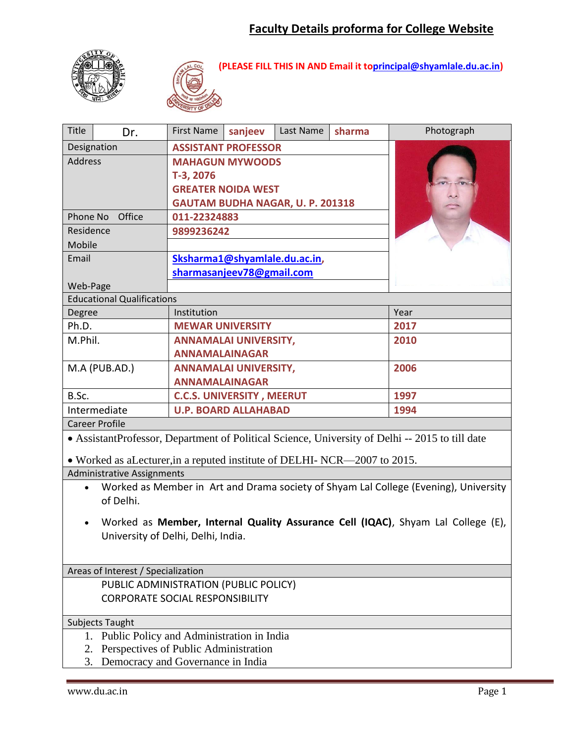



**(PLEASE FILL THIS IN AND Email it t[oprincipal@shyamlale.du.ac.in\)](mailto:principal@shyamlale.du.ac.in)**

| Title<br>Dr.                                                                                                   | <b>First Name</b>                       | sanjeev | Last Name | sharma | Photograph |  |  |  |  |
|----------------------------------------------------------------------------------------------------------------|-----------------------------------------|---------|-----------|--------|------------|--|--|--|--|
| Designation                                                                                                    | <b>ASSISTANT PROFESSOR</b>              |         |           |        |            |  |  |  |  |
| <b>Address</b>                                                                                                 | <b>MAHAGUN MYWOODS</b>                  |         |           |        |            |  |  |  |  |
|                                                                                                                | T-3, 2076                               |         |           |        |            |  |  |  |  |
|                                                                                                                | <b>GREATER NOIDA WEST</b>               |         |           |        |            |  |  |  |  |
|                                                                                                                | <b>GAUTAM BUDHA NAGAR, U. P. 201318</b> |         |           |        |            |  |  |  |  |
| Phone No Office                                                                                                | 011-22324883                            |         |           |        |            |  |  |  |  |
| Residence                                                                                                      | 9899236242                              |         |           |        |            |  |  |  |  |
| Mobile                                                                                                         |                                         |         |           |        |            |  |  |  |  |
| Email                                                                                                          | Sksharma1@shyamlale.du.ac.in,           |         |           |        |            |  |  |  |  |
|                                                                                                                | sharmasanjeev78@gmail.com               |         |           |        |            |  |  |  |  |
| Web-Page                                                                                                       |                                         |         |           |        |            |  |  |  |  |
| <b>Educational Qualifications</b>                                                                              |                                         |         |           |        |            |  |  |  |  |
| Degree                                                                                                         | Institution                             |         | Year      |        |            |  |  |  |  |
| Ph.D.                                                                                                          | <b>MEWAR UNIVERSITY</b>                 |         | 2017      |        |            |  |  |  |  |
| M.Phil.                                                                                                        | <b>ANNAMALAI UNIVERSITY,</b>            |         |           |        | 2010       |  |  |  |  |
|                                                                                                                | <b>ANNAMALAINAGAR</b>                   |         |           |        |            |  |  |  |  |
| M.A (PUB.AD.)<br><b>ANNAMALAI UNIVERSITY,</b>                                                                  |                                         |         |           |        | 2006       |  |  |  |  |
| <b>ANNAMALAINAGAR</b>                                                                                          |                                         |         |           |        |            |  |  |  |  |
| B.Sc.                                                                                                          | <b>C.C.S. UNIVERSITY, MEERUT</b>        |         | 1997      |        |            |  |  |  |  |
| Intermediate                                                                                                   | <b>U.P. BOARD ALLAHABAD</b>             |         | 1994      |        |            |  |  |  |  |
| <b>Career Profile</b>                                                                                          |                                         |         |           |        |            |  |  |  |  |
| • AssistantProfessor, Department of Political Science, University of Delhi -- 2015 to till date                |                                         |         |           |        |            |  |  |  |  |
|                                                                                                                |                                         |         |           |        |            |  |  |  |  |
| • Worked as aLecturer, in a reputed institute of DELHI-NCR—2007 to 2015.                                       |                                         |         |           |        |            |  |  |  |  |
| <b>Administrative Assignments</b>                                                                              |                                         |         |           |        |            |  |  |  |  |
| Worked as Member in Art and Drama society of Shyam Lal College (Evening), University<br>$\bullet$<br>of Delhi. |                                         |         |           |        |            |  |  |  |  |
|                                                                                                                |                                         |         |           |        |            |  |  |  |  |
| Worked as Member, Internal Quality Assurance Cell (IQAC), Shyam Lal College (E),<br>$\bullet$                  |                                         |         |           |        |            |  |  |  |  |
| University of Delhi, Delhi, India.                                                                             |                                         |         |           |        |            |  |  |  |  |
|                                                                                                                |                                         |         |           |        |            |  |  |  |  |
|                                                                                                                |                                         |         |           |        |            |  |  |  |  |
| Areas of Interest / Specialization                                                                             |                                         |         |           |        |            |  |  |  |  |
| PUBLIC ADMINISTRATION (PUBLIC POLICY)<br><b>CORPORATE SOCIAL RESPONSIBILITY</b>                                |                                         |         |           |        |            |  |  |  |  |
|                                                                                                                |                                         |         |           |        |            |  |  |  |  |
| Subjects Taught                                                                                                |                                         |         |           |        |            |  |  |  |  |
| Public Policy and Administration in India<br>1.                                                                |                                         |         |           |        |            |  |  |  |  |
| Perspectives of Public Administration<br>2.                                                                    |                                         |         |           |        |            |  |  |  |  |
| Democracy and Governance in India<br>3.                                                                        |                                         |         |           |        |            |  |  |  |  |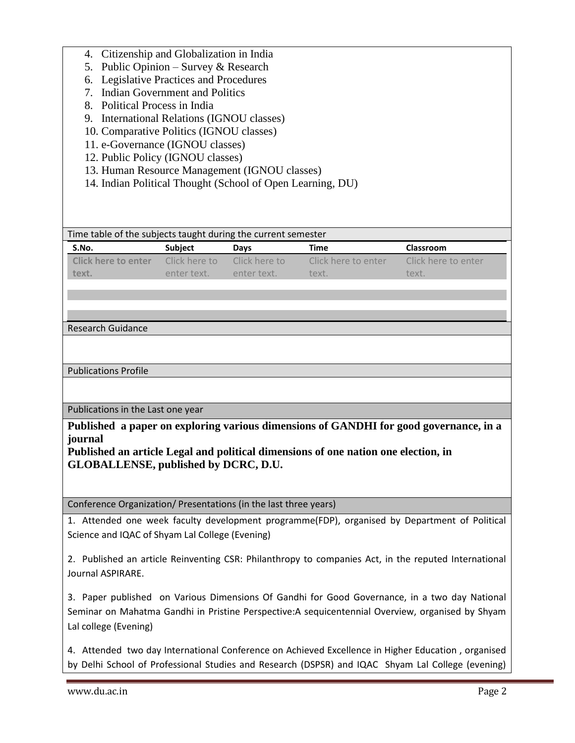| Citizenship and Globalization in India<br>4.<br>Public Opinion – Survey & Research<br>5.<br>Legislative Practices and Procedures<br>6.<br>7. Indian Government and Politics<br>Political Process in India<br>8.<br>International Relations (IGNOU classes)<br>9.<br>10. Comparative Politics (IGNOU classes)<br>11. e-Governance (IGNOU classes)<br>12. Public Policy (IGNOU classes)<br>13. Human Resource Management (IGNOU classes)<br>14. Indian Political Thought (School of Open Learning, DU) |               |               |                     |                     |  |  |  |  |
|------------------------------------------------------------------------------------------------------------------------------------------------------------------------------------------------------------------------------------------------------------------------------------------------------------------------------------------------------------------------------------------------------------------------------------------------------------------------------------------------------|---------------|---------------|---------------------|---------------------|--|--|--|--|
| Time table of the subjects taught during the current semester                                                                                                                                                                                                                                                                                                                                                                                                                                        |               |               |                     |                     |  |  |  |  |
| S.No.                                                                                                                                                                                                                                                                                                                                                                                                                                                                                                | Subject       | Days          | Time                | Classroom           |  |  |  |  |
| <b>Click here to enter</b>                                                                                                                                                                                                                                                                                                                                                                                                                                                                           | Click here to | Click here to | Click here to enter | Click here to enter |  |  |  |  |
| text.                                                                                                                                                                                                                                                                                                                                                                                                                                                                                                | enter text.   | enter text.   | text.               | text.               |  |  |  |  |
|                                                                                                                                                                                                                                                                                                                                                                                                                                                                                                      |               |               |                     |                     |  |  |  |  |
|                                                                                                                                                                                                                                                                                                                                                                                                                                                                                                      |               |               |                     |                     |  |  |  |  |
|                                                                                                                                                                                                                                                                                                                                                                                                                                                                                                      |               |               |                     |                     |  |  |  |  |
| <b>Research Guidance</b>                                                                                                                                                                                                                                                                                                                                                                                                                                                                             |               |               |                     |                     |  |  |  |  |
|                                                                                                                                                                                                                                                                                                                                                                                                                                                                                                      |               |               |                     |                     |  |  |  |  |
| <b>Publications Profile</b>                                                                                                                                                                                                                                                                                                                                                                                                                                                                          |               |               |                     |                     |  |  |  |  |
|                                                                                                                                                                                                                                                                                                                                                                                                                                                                                                      |               |               |                     |                     |  |  |  |  |
| Publications in the Last one year                                                                                                                                                                                                                                                                                                                                                                                                                                                                    |               |               |                     |                     |  |  |  |  |
|                                                                                                                                                                                                                                                                                                                                                                                                                                                                                                      |               |               |                     |                     |  |  |  |  |
| Published a paper on exploring various dimensions of GANDHI for good governance, in a<br>journal<br>Published an article Legal and political dimensions of one nation one election, in<br><b>GLOBALLENSE, published by DCRC, D.U.</b>                                                                                                                                                                                                                                                                |               |               |                     |                     |  |  |  |  |
| Conference Organization/ Presentations (in the last three years)                                                                                                                                                                                                                                                                                                                                                                                                                                     |               |               |                     |                     |  |  |  |  |
| 1. Attended one week faculty development programme(FDP), organised by Department of Political<br>Science and IQAC of Shyam Lal College (Evening)                                                                                                                                                                                                                                                                                                                                                     |               |               |                     |                     |  |  |  |  |
| 2. Published an article Reinventing CSR: Philanthropy to companies Act, in the reputed International<br>Journal ASPIRARE.                                                                                                                                                                                                                                                                                                                                                                            |               |               |                     |                     |  |  |  |  |
| 3. Paper published on Various Dimensions Of Gandhi for Good Governance, in a two day National<br>Seminar on Mahatma Gandhi in Pristine Perspective: A sequicentennial Overview, organised by Shyam<br>Lal college (Evening)                                                                                                                                                                                                                                                                          |               |               |                     |                     |  |  |  |  |
| 4. Attended two day International Conference on Achieved Excellence in Higher Education, organised<br>by Delhi School of Professional Studies and Research (DSPSR) and IQAC Shyam Lal College (evening)                                                                                                                                                                                                                                                                                              |               |               |                     |                     |  |  |  |  |